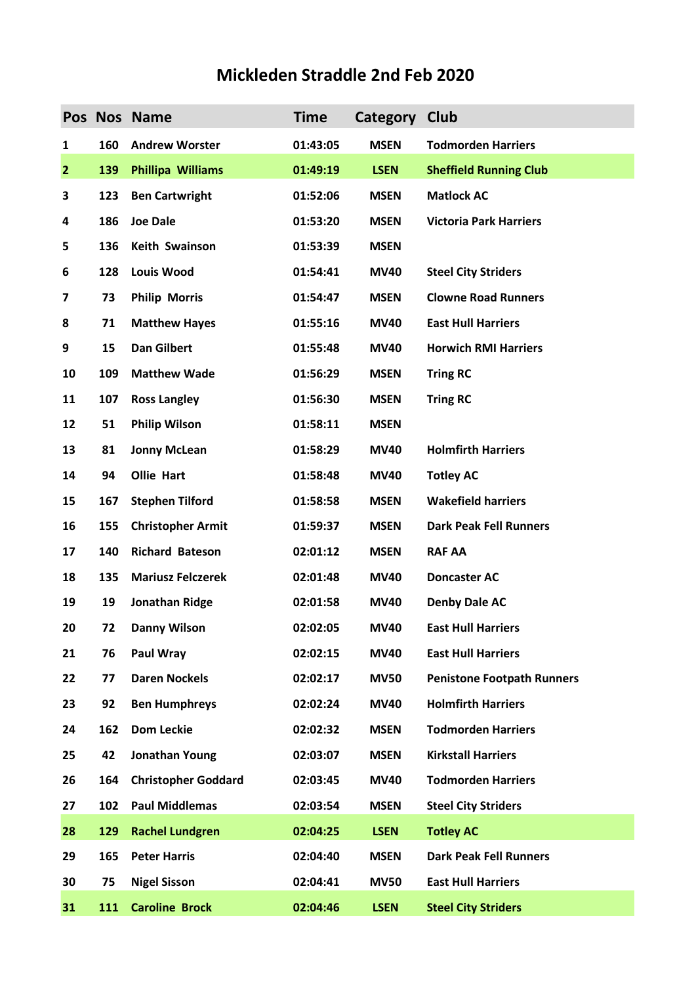## **Mickleden Straddle 2nd Feb 2020**

|                |     | Pos Nos Name               | <b>Time</b> | Category Club |                                   |
|----------------|-----|----------------------------|-------------|---------------|-----------------------------------|
| 1              | 160 | <b>Andrew Worster</b>      | 01:43:05    | <b>MSEN</b>   | <b>Todmorden Harriers</b>         |
| $\overline{2}$ | 139 | <b>Phillipa Williams</b>   | 01:49:19    | <b>LSEN</b>   | <b>Sheffield Running Club</b>     |
| 3              | 123 | <b>Ben Cartwright</b>      | 01:52:06    | <b>MSEN</b>   | <b>Matlock AC</b>                 |
| 4              | 186 | <b>Joe Dale</b>            | 01:53:20    | <b>MSEN</b>   | <b>Victoria Park Harriers</b>     |
| 5              | 136 | Keith Swainson             | 01:53:39    | <b>MSEN</b>   |                                   |
| 6              | 128 | <b>Louis Wood</b>          | 01:54:41    | <b>MV40</b>   | <b>Steel City Striders</b>        |
| 7              | 73  | <b>Philip Morris</b>       | 01:54:47    | <b>MSEN</b>   | <b>Clowne Road Runners</b>        |
| 8              | 71  | <b>Matthew Hayes</b>       | 01:55:16    | <b>MV40</b>   | <b>East Hull Harriers</b>         |
| 9              | 15  | <b>Dan Gilbert</b>         | 01:55:48    | <b>MV40</b>   | <b>Horwich RMI Harriers</b>       |
| 10             | 109 | <b>Matthew Wade</b>        | 01:56:29    | <b>MSEN</b>   | <b>Tring RC</b>                   |
| 11             | 107 | <b>Ross Langley</b>        | 01:56:30    | <b>MSEN</b>   | <b>Tring RC</b>                   |
| 12             | 51  | <b>Philip Wilson</b>       | 01:58:11    | <b>MSEN</b>   |                                   |
| 13             | 81  | <b>Jonny McLean</b>        | 01:58:29    | <b>MV40</b>   | <b>Holmfirth Harriers</b>         |
| 14             | 94  | <b>Ollie Hart</b>          | 01:58:48    | <b>MV40</b>   | <b>Totley AC</b>                  |
| 15             | 167 | <b>Stephen Tilford</b>     | 01:58:58    | <b>MSEN</b>   | <b>Wakefield harriers</b>         |
| 16             | 155 | <b>Christopher Armit</b>   | 01:59:37    | <b>MSEN</b>   | <b>Dark Peak Fell Runners</b>     |
| 17             | 140 | <b>Richard Bateson</b>     | 02:01:12    | <b>MSEN</b>   | <b>RAF AA</b>                     |
| 18             | 135 | <b>Mariusz Felczerek</b>   | 02:01:48    | <b>MV40</b>   | <b>Doncaster AC</b>               |
| 19             | 19  | Jonathan Ridge             | 02:01:58    | <b>MV40</b>   | <b>Denby Dale AC</b>              |
| 20             | 72  | <b>Danny Wilson</b>        | 02:02:05    | <b>MV40</b>   | <b>East Hull Harriers</b>         |
| 21             | 76  | Paul Wray                  | 02:02:15    | <b>MV40</b>   | <b>East Hull Harriers</b>         |
| 22             | 77  | <b>Daren Nockels</b>       | 02:02:17    | <b>MV50</b>   | <b>Penistone Footpath Runners</b> |
| 23             | 92  | <b>Ben Humphreys</b>       | 02:02:24    | <b>MV40</b>   | <b>Holmfirth Harriers</b>         |
| 24             | 162 | <b>Dom Leckie</b>          | 02:02:32    | <b>MSEN</b>   | <b>Todmorden Harriers</b>         |
| 25             | 42  | Jonathan Young             | 02:03:07    | <b>MSEN</b>   | <b>Kirkstall Harriers</b>         |
| 26             | 164 | <b>Christopher Goddard</b> | 02:03:45    | <b>MV40</b>   | <b>Todmorden Harriers</b>         |
| 27             | 102 | <b>Paul Middlemas</b>      | 02:03:54    | <b>MSEN</b>   | <b>Steel City Striders</b>        |
| 28             | 129 | <b>Rachel Lundgren</b>     | 02:04:25    | <b>LSEN</b>   | <b>Totley AC</b>                  |
| 29             | 165 | <b>Peter Harris</b>        | 02:04:40    | <b>MSEN</b>   | <b>Dark Peak Fell Runners</b>     |
| 30             | 75  | <b>Nigel Sisson</b>        | 02:04:41    | <b>MV50</b>   | <b>East Hull Harriers</b>         |
| 31             | 111 | <b>Caroline Brock</b>      | 02:04:46    | <b>LSEN</b>   | <b>Steel City Striders</b>        |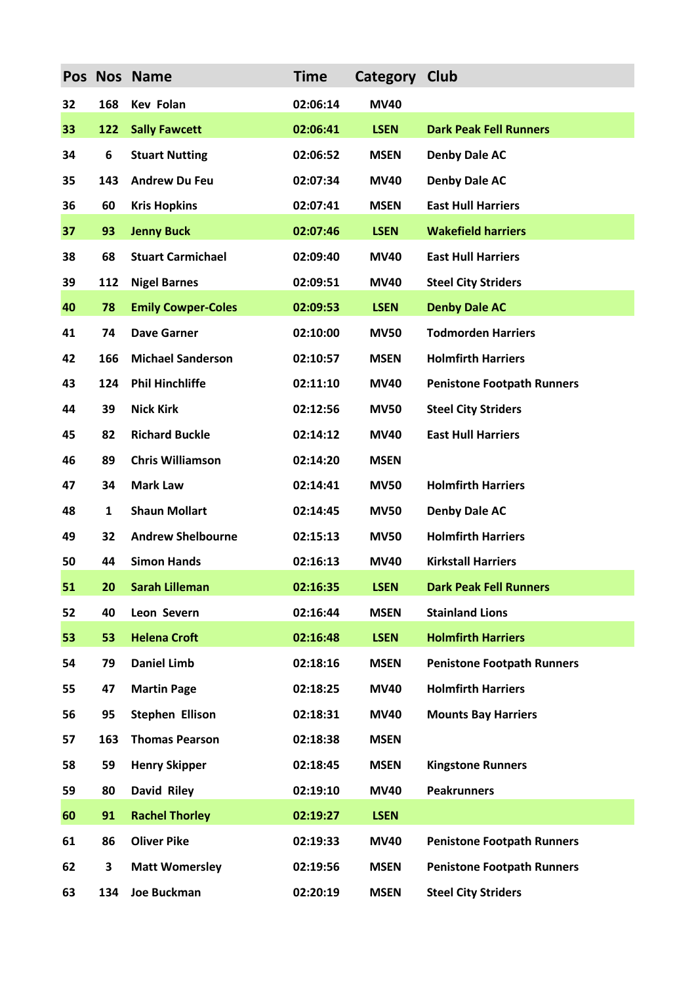|    |              | Pos Nos Name              | <b>Time</b> | Category Club |                                   |
|----|--------------|---------------------------|-------------|---------------|-----------------------------------|
| 32 | 168          | <b>Kev Folan</b>          | 02:06:14    | <b>MV40</b>   |                                   |
| 33 | 122          | <b>Sally Fawcett</b>      | 02:06:41    | <b>LSEN</b>   | <b>Dark Peak Fell Runners</b>     |
| 34 | 6            | <b>Stuart Nutting</b>     | 02:06:52    | <b>MSEN</b>   | <b>Denby Dale AC</b>              |
| 35 | 143          | <b>Andrew Du Feu</b>      | 02:07:34    | <b>MV40</b>   | <b>Denby Dale AC</b>              |
| 36 | 60           | <b>Kris Hopkins</b>       | 02:07:41    | <b>MSEN</b>   | <b>East Hull Harriers</b>         |
| 37 | 93           | <b>Jenny Buck</b>         | 02:07:46    | <b>LSEN</b>   | <b>Wakefield harriers</b>         |
| 38 | 68           | <b>Stuart Carmichael</b>  | 02:09:40    | <b>MV40</b>   | <b>East Hull Harriers</b>         |
| 39 | 112          | <b>Nigel Barnes</b>       | 02:09:51    | <b>MV40</b>   | <b>Steel City Striders</b>        |
| 40 | 78           | <b>Emily Cowper-Coles</b> | 02:09:53    | <b>LSEN</b>   | <b>Denby Dale AC</b>              |
| 41 | 74           | <b>Dave Garner</b>        | 02:10:00    | <b>MV50</b>   | <b>Todmorden Harriers</b>         |
| 42 | 166          | <b>Michael Sanderson</b>  | 02:10:57    | <b>MSEN</b>   | <b>Holmfirth Harriers</b>         |
| 43 | 124          | <b>Phil Hinchliffe</b>    | 02:11:10    | <b>MV40</b>   | <b>Penistone Footpath Runners</b> |
| 44 | 39           | <b>Nick Kirk</b>          | 02:12:56    | <b>MV50</b>   | <b>Steel City Striders</b>        |
| 45 | 82           | <b>Richard Buckle</b>     | 02:14:12    | <b>MV40</b>   | <b>East Hull Harriers</b>         |
| 46 | 89           | <b>Chris Williamson</b>   | 02:14:20    | <b>MSEN</b>   |                                   |
| 47 | 34           | <b>Mark Law</b>           | 02:14:41    | <b>MV50</b>   | <b>Holmfirth Harriers</b>         |
| 48 | $\mathbf{1}$ | <b>Shaun Mollart</b>      | 02:14:45    | <b>MV50</b>   | <b>Denby Dale AC</b>              |
| 49 | 32           | <b>Andrew Shelbourne</b>  | 02:15:13    | <b>MV50</b>   | <b>Holmfirth Harriers</b>         |
| 50 | 44           | <b>Simon Hands</b>        | 02:16:13    | <b>MV40</b>   | <b>Kirkstall Harriers</b>         |
| 51 | 20 -         | Sarah Lilleman            | 02:16:35    | <b>LSEN</b>   | <b>Dark Peak Fell Runners</b>     |
| 52 | 40           | Leon Severn               | 02:16:44    | <b>MSEN</b>   | <b>Stainland Lions</b>            |
| 53 | 53           | <b>Helena Croft</b>       | 02:16:48    | <b>LSEN</b>   | <b>Holmfirth Harriers</b>         |
| 54 | 79           | <b>Daniel Limb</b>        | 02:18:16    | <b>MSEN</b>   | <b>Penistone Footpath Runners</b> |
| 55 | 47           | <b>Martin Page</b>        | 02:18:25    | <b>MV40</b>   | <b>Holmfirth Harriers</b>         |
| 56 | 95           | <b>Stephen Ellison</b>    | 02:18:31    | <b>MV40</b>   | <b>Mounts Bay Harriers</b>        |
| 57 | 163          | <b>Thomas Pearson</b>     | 02:18:38    | <b>MSEN</b>   |                                   |
| 58 | 59           | <b>Henry Skipper</b>      | 02:18:45    | <b>MSEN</b>   | <b>Kingstone Runners</b>          |
| 59 | 80           | <b>David Riley</b>        | 02:19:10    | <b>MV40</b>   | <b>Peakrunners</b>                |
| 60 | 91           | <b>Rachel Thorley</b>     | 02:19:27    | <b>LSEN</b>   |                                   |
| 61 | 86           | <b>Oliver Pike</b>        | 02:19:33    | <b>MV40</b>   | <b>Penistone Footpath Runners</b> |
| 62 | 3            | <b>Matt Womersley</b>     | 02:19:56    | <b>MSEN</b>   | <b>Penistone Footpath Runners</b> |
| 63 | 134          | <b>Joe Buckman</b>        | 02:20:19    | <b>MSEN</b>   | <b>Steel City Striders</b>        |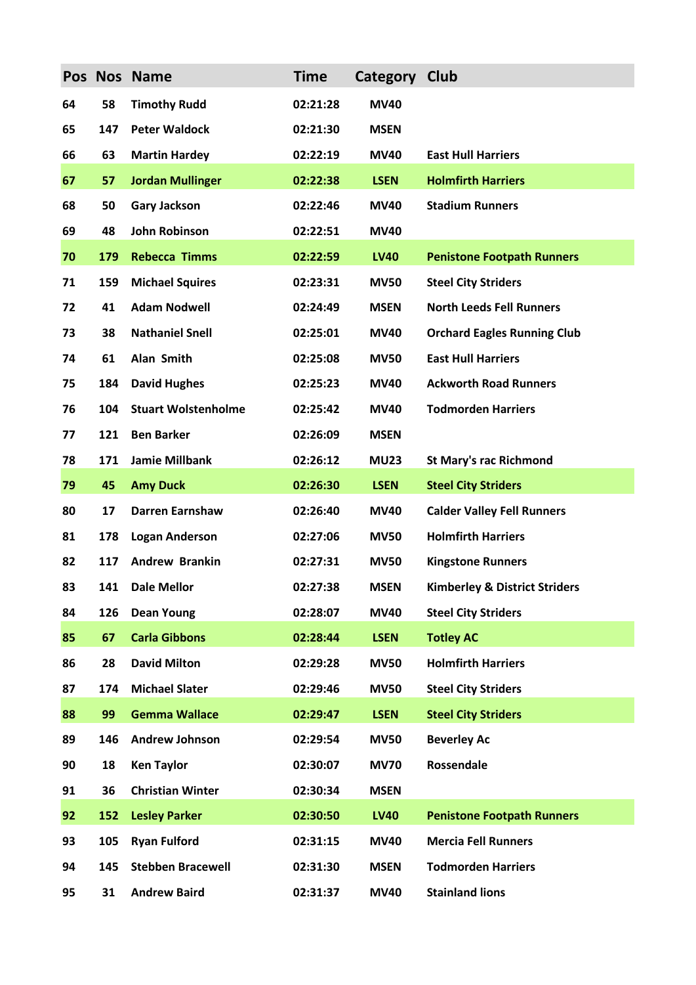|    |     | Pos Nos Name               | <b>Time</b> | Category Club |                                          |
|----|-----|----------------------------|-------------|---------------|------------------------------------------|
| 64 | 58  | <b>Timothy Rudd</b>        | 02:21:28    | <b>MV40</b>   |                                          |
| 65 | 147 | <b>Peter Waldock</b>       | 02:21:30    | <b>MSEN</b>   |                                          |
| 66 | 63  | <b>Martin Hardey</b>       | 02:22:19    | <b>MV40</b>   | <b>East Hull Harriers</b>                |
| 67 | 57  | <b>Jordan Mullinger</b>    | 02:22:38    | <b>LSEN</b>   | <b>Holmfirth Harriers</b>                |
| 68 | 50  | <b>Gary Jackson</b>        | 02:22:46    | <b>MV40</b>   | <b>Stadium Runners</b>                   |
| 69 | 48  | <b>John Robinson</b>       | 02:22:51    | <b>MV40</b>   |                                          |
| 70 | 179 | <b>Rebecca Timms</b>       | 02:22:59    | <b>LV40</b>   | <b>Penistone Footpath Runners</b>        |
| 71 | 159 | <b>Michael Squires</b>     | 02:23:31    | <b>MV50</b>   | <b>Steel City Striders</b>               |
| 72 | 41  | <b>Adam Nodwell</b>        | 02:24:49    | <b>MSEN</b>   | <b>North Leeds Fell Runners</b>          |
| 73 | 38  | <b>Nathaniel Snell</b>     | 02:25:01    | <b>MV40</b>   | <b>Orchard Eagles Running Club</b>       |
| 74 | 61  | Alan Smith                 | 02:25:08    | <b>MV50</b>   | <b>East Hull Harriers</b>                |
| 75 | 184 | <b>David Hughes</b>        | 02:25:23    | <b>MV40</b>   | <b>Ackworth Road Runners</b>             |
| 76 | 104 | <b>Stuart Wolstenholme</b> | 02:25:42    | <b>MV40</b>   | <b>Todmorden Harriers</b>                |
| 77 | 121 | <b>Ben Barker</b>          | 02:26:09    | <b>MSEN</b>   |                                          |
| 78 | 171 | <b>Jamie Millbank</b>      | 02:26:12    | <b>MU23</b>   | <b>St Mary's rac Richmond</b>            |
| 79 | 45  | <b>Amy Duck</b>            | 02:26:30    | <b>LSEN</b>   | <b>Steel City Striders</b>               |
| 80 | 17  | <b>Darren Earnshaw</b>     | 02:26:40    | <b>MV40</b>   | <b>Calder Valley Fell Runners</b>        |
| 81 | 178 | <b>Logan Anderson</b>      | 02:27:06    | <b>MV50</b>   | <b>Holmfirth Harriers</b>                |
| 82 | 117 | <b>Andrew Brankin</b>      | 02:27:31    | <b>MV50</b>   | <b>Kingstone Runners</b>                 |
| 83 | 141 | <b>Dale Mellor</b>         | 02:27:38    | <b>MSEN</b>   | <b>Kimberley &amp; District Striders</b> |
| 84 | 126 | <b>Dean Young</b>          | 02:28:07    | <b>MV40</b>   | <b>Steel City Striders</b>               |
| 85 | 67  | <b>Carla Gibbons</b>       | 02:28:44    | <b>LSEN</b>   | <b>Totley AC</b>                         |
| 86 | 28  | <b>David Milton</b>        | 02:29:28    | <b>MV50</b>   | <b>Holmfirth Harriers</b>                |
| 87 | 174 | <b>Michael Slater</b>      | 02:29:46    | <b>MV50</b>   | <b>Steel City Striders</b>               |
| 88 | 99  | <b>Gemma Wallace</b>       | 02:29:47    | <b>LSEN</b>   | <b>Steel City Striders</b>               |
| 89 | 146 | <b>Andrew Johnson</b>      | 02:29:54    | <b>MV50</b>   | <b>Beverley Ac</b>                       |
| 90 | 18  | <b>Ken Taylor</b>          | 02:30:07    | <b>MV70</b>   | Rossendale                               |
| 91 | 36  | <b>Christian Winter</b>    | 02:30:34    | <b>MSEN</b>   |                                          |
| 92 | 152 | <b>Lesley Parker</b>       | 02:30:50    | <b>LV40</b>   | <b>Penistone Footpath Runners</b>        |
| 93 | 105 | <b>Ryan Fulford</b>        | 02:31:15    | <b>MV40</b>   | <b>Mercia Fell Runners</b>               |
| 94 | 145 | <b>Stebben Bracewell</b>   | 02:31:30    | <b>MSEN</b>   | <b>Todmorden Harriers</b>                |
| 95 | 31  | <b>Andrew Baird</b>        | 02:31:37    | <b>MV40</b>   | <b>Stainland lions</b>                   |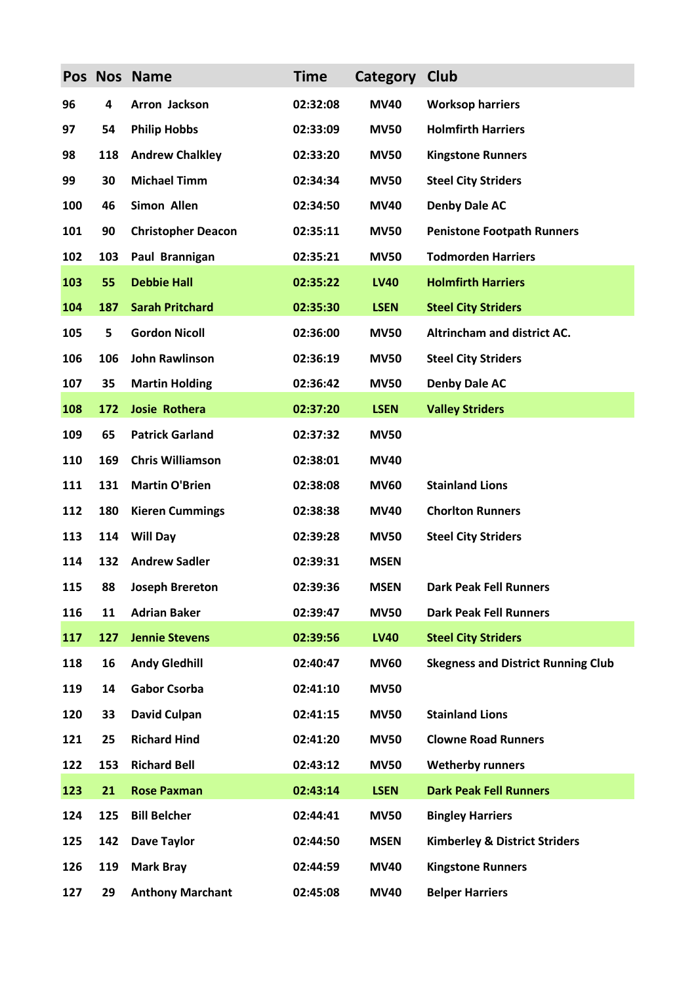|     |     | Pos Nos Name              | <b>Time</b> | Category    | <b>Club</b>                               |
|-----|-----|---------------------------|-------------|-------------|-------------------------------------------|
| 96  | 4   | Arron Jackson             | 02:32:08    | <b>MV40</b> | <b>Worksop harriers</b>                   |
| 97  | 54  | <b>Philip Hobbs</b>       | 02:33:09    | <b>MV50</b> | <b>Holmfirth Harriers</b>                 |
| 98  | 118 | <b>Andrew Chalkley</b>    | 02:33:20    | <b>MV50</b> | <b>Kingstone Runners</b>                  |
| 99  | 30  | <b>Michael Timm</b>       | 02:34:34    | <b>MV50</b> | <b>Steel City Striders</b>                |
| 100 | 46  | Simon Allen               | 02:34:50    | <b>MV40</b> | <b>Denby Dale AC</b>                      |
| 101 | 90  | <b>Christopher Deacon</b> | 02:35:11    | <b>MV50</b> | <b>Penistone Footpath Runners</b>         |
| 102 | 103 | Paul Brannigan            | 02:35:21    | <b>MV50</b> | <b>Todmorden Harriers</b>                 |
| 103 | 55  | <b>Debbie Hall</b>        | 02:35:22    | <b>LV40</b> | <b>Holmfirth Harriers</b>                 |
| 104 | 187 | <b>Sarah Pritchard</b>    | 02:35:30    | <b>LSEN</b> | <b>Steel City Striders</b>                |
| 105 | 5   | <b>Gordon Nicoll</b>      | 02:36:00    | <b>MV50</b> | Altrincham and district AC.               |
| 106 | 106 | <b>John Rawlinson</b>     | 02:36:19    | <b>MV50</b> | <b>Steel City Striders</b>                |
| 107 | 35  | <b>Martin Holding</b>     | 02:36:42    | <b>MV50</b> | <b>Denby Dale AC</b>                      |
| 108 | 172 | <b>Josie Rothera</b>      | 02:37:20    | <b>LSEN</b> | <b>Valley Striders</b>                    |
| 109 | 65  | <b>Patrick Garland</b>    | 02:37:32    | <b>MV50</b> |                                           |
| 110 | 169 | <b>Chris Williamson</b>   | 02:38:01    | <b>MV40</b> |                                           |
| 111 | 131 | <b>Martin O'Brien</b>     | 02:38:08    | <b>MV60</b> | <b>Stainland Lions</b>                    |
| 112 | 180 | <b>Kieren Cummings</b>    | 02:38:38    | <b>MV40</b> | <b>Chorlton Runners</b>                   |
| 113 | 114 | <b>Will Day</b>           | 02:39:28    | <b>MV50</b> | <b>Steel City Striders</b>                |
| 114 | 132 | <b>Andrew Sadler</b>      | 02:39:31    | <b>MSEN</b> |                                           |
| 115 | 88  | <b>Joseph Brereton</b>    | 02:39:36    | <b>MSEN</b> | <b>Dark Peak Fell Runners</b>             |
| 116 | 11  | <b>Adrian Baker</b>       | 02:39:47    | <b>MV50</b> | <b>Dark Peak Fell Runners</b>             |
| 117 | 127 | <b>Jennie Stevens</b>     | 02:39:56    | <b>LV40</b> | <b>Steel City Striders</b>                |
| 118 | 16  | <b>Andy Gledhill</b>      | 02:40:47    | <b>MV60</b> | <b>Skegness and District Running Club</b> |
| 119 | 14  | <b>Gabor Csorba</b>       | 02:41:10    | <b>MV50</b> |                                           |
| 120 | 33  | <b>David Culpan</b>       | 02:41:15    | <b>MV50</b> | <b>Stainland Lions</b>                    |
| 121 | 25  | <b>Richard Hind</b>       | 02:41:20    | <b>MV50</b> | <b>Clowne Road Runners</b>                |
| 122 | 153 | <b>Richard Bell</b>       | 02:43:12    | <b>MV50</b> | <b>Wetherby runners</b>                   |
| 123 | 21  | <b>Rose Paxman</b>        | 02:43:14    | <b>LSEN</b> | <b>Dark Peak Fell Runners</b>             |
| 124 | 125 | <b>Bill Belcher</b>       | 02:44:41    | <b>MV50</b> | <b>Bingley Harriers</b>                   |
| 125 | 142 | <b>Dave Taylor</b>        | 02:44:50    | <b>MSEN</b> | <b>Kimberley &amp; District Striders</b>  |
| 126 | 119 | <b>Mark Bray</b>          | 02:44:59    | <b>MV40</b> | <b>Kingstone Runners</b>                  |
| 127 | 29  | <b>Anthony Marchant</b>   | 02:45:08    | <b>MV40</b> | <b>Belper Harriers</b>                    |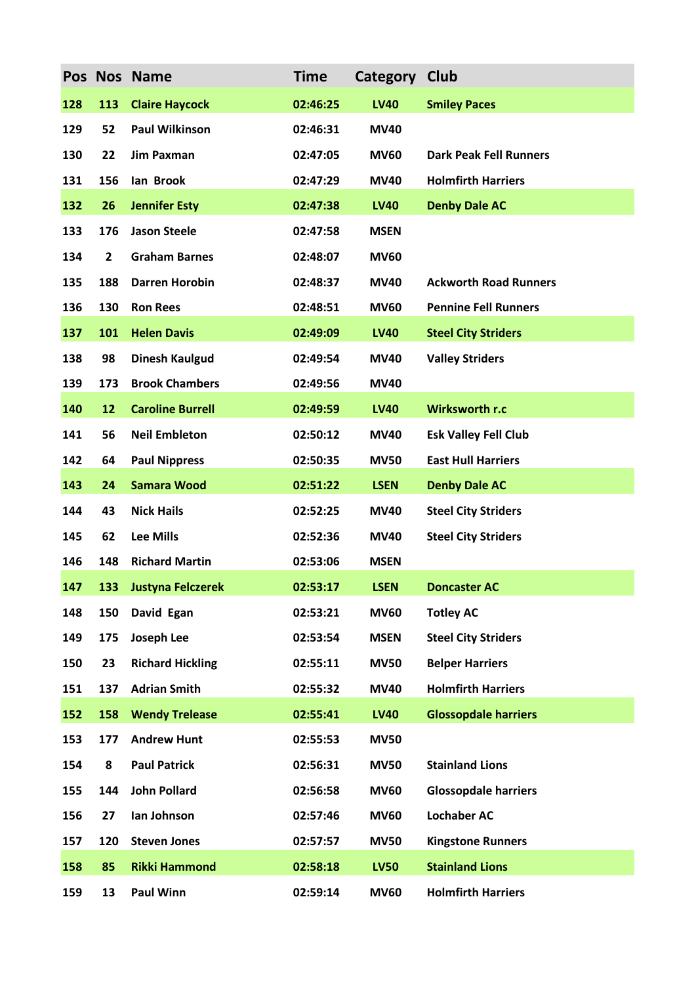|     |                         | Pos Nos Name            | <b>Time</b> | Category    | Club                          |
|-----|-------------------------|-------------------------|-------------|-------------|-------------------------------|
| 128 | 113                     | <b>Claire Haycock</b>   | 02:46:25    | <b>LV40</b> | <b>Smiley Paces</b>           |
| 129 | 52                      | <b>Paul Wilkinson</b>   | 02:46:31    | <b>MV40</b> |                               |
| 130 | 22                      | <b>Jim Paxman</b>       | 02:47:05    | <b>MV60</b> | <b>Dark Peak Fell Runners</b> |
| 131 | 156                     | lan Brook               | 02:47:29    | <b>MV40</b> | <b>Holmfirth Harriers</b>     |
| 132 | 26                      | <b>Jennifer Esty</b>    | 02:47:38    | <b>LV40</b> | <b>Denby Dale AC</b>          |
| 133 | 176                     | <b>Jason Steele</b>     | 02:47:58    | <b>MSEN</b> |                               |
| 134 | $\overline{\mathbf{c}}$ | <b>Graham Barnes</b>    | 02:48:07    | <b>MV60</b> |                               |
| 135 | 188                     | <b>Darren Horobin</b>   | 02:48:37    | <b>MV40</b> | <b>Ackworth Road Runners</b>  |
| 136 | 130                     | <b>Ron Rees</b>         | 02:48:51    | <b>MV60</b> | <b>Pennine Fell Runners</b>   |
| 137 | 101                     | <b>Helen Davis</b>      | 02:49:09    | <b>LV40</b> | <b>Steel City Striders</b>    |
| 138 | 98                      | <b>Dinesh Kaulgud</b>   | 02:49:54    | <b>MV40</b> | <b>Valley Striders</b>        |
| 139 | 173                     | <b>Brook Chambers</b>   | 02:49:56    | <b>MV40</b> |                               |
| 140 | 12                      | <b>Caroline Burrell</b> | 02:49:59    | <b>LV40</b> | Wirksworth r.c                |
| 141 | 56                      | <b>Neil Embleton</b>    | 02:50:12    | <b>MV40</b> | <b>Esk Valley Fell Club</b>   |
| 142 | 64                      | <b>Paul Nippress</b>    | 02:50:35    | <b>MV50</b> | <b>East Hull Harriers</b>     |
| 143 | 24                      | <b>Samara Wood</b>      | 02:51:22    | <b>LSEN</b> | <b>Denby Dale AC</b>          |
| 144 | 43                      | <b>Nick Hails</b>       | 02:52:25    | <b>MV40</b> | <b>Steel City Striders</b>    |
| 145 | 62                      | <b>Lee Mills</b>        | 02:52:36    | <b>MV40</b> | <b>Steel City Striders</b>    |
| 146 | 148                     | <b>Richard Martin</b>   | 02:53:06    | <b>MSEN</b> |                               |
| 147 |                         | 133 Justyna Felczerek   | 02:53:17    | <b>LSEN</b> | <b>Doncaster AC</b>           |
| 148 | 150                     | David Egan              | 02:53:21    | <b>MV60</b> | <b>Totley AC</b>              |
| 149 | 175                     | Joseph Lee              | 02:53:54    | <b>MSEN</b> | <b>Steel City Striders</b>    |
| 150 | 23                      | <b>Richard Hickling</b> | 02:55:11    | <b>MV50</b> | <b>Belper Harriers</b>        |
| 151 | 137                     | <b>Adrian Smith</b>     | 02:55:32    | <b>MV40</b> | <b>Holmfirth Harriers</b>     |
| 152 | 158                     | <b>Wendy Trelease</b>   | 02:55:41    | <b>LV40</b> | <b>Glossopdale harriers</b>   |
| 153 | 177                     | <b>Andrew Hunt</b>      | 02:55:53    | <b>MV50</b> |                               |
| 154 | 8                       | <b>Paul Patrick</b>     | 02:56:31    | <b>MV50</b> | <b>Stainland Lions</b>        |
| 155 | 144                     | <b>John Pollard</b>     | 02:56:58    | <b>MV60</b> | <b>Glossopdale harriers</b>   |
| 156 | 27                      | Ian Johnson             | 02:57:46    | <b>MV60</b> | <b>Lochaber AC</b>            |
| 157 | 120                     | <b>Steven Jones</b>     | 02:57:57    | <b>MV50</b> | <b>Kingstone Runners</b>      |
| 158 | 85                      | <b>Rikki Hammond</b>    | 02:58:18    | <b>LV50</b> | <b>Stainland Lions</b>        |
| 159 | 13                      | <b>Paul Winn</b>        | 02:59:14    | <b>MV60</b> | <b>Holmfirth Harriers</b>     |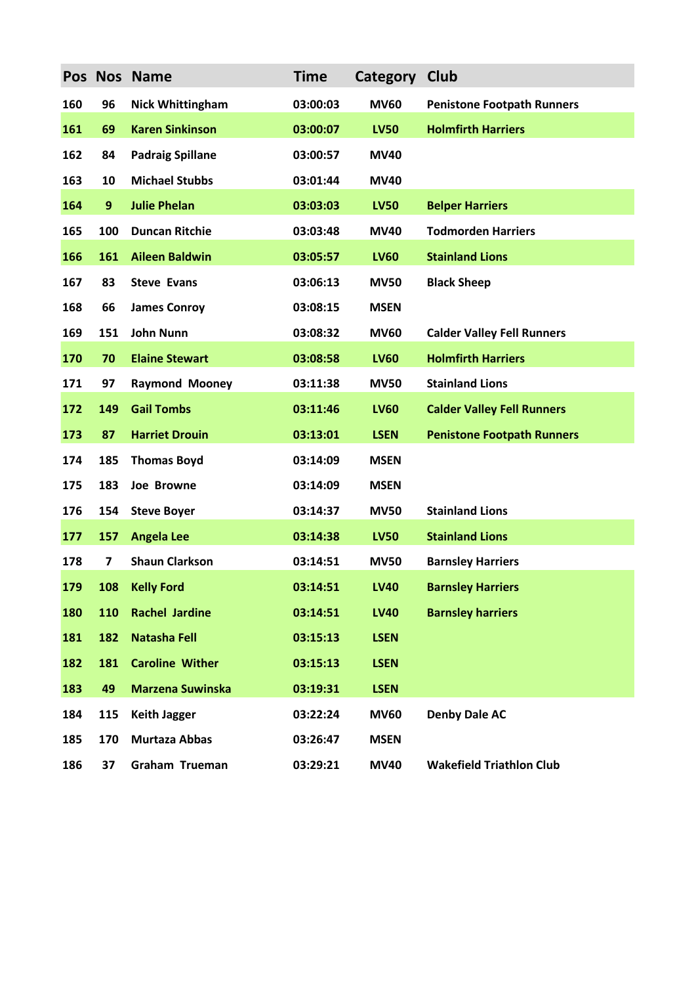|     |                  | Pos Nos Name            | <b>Time</b> | Category    | Club                              |
|-----|------------------|-------------------------|-------------|-------------|-----------------------------------|
| 160 | 96               | <b>Nick Whittingham</b> | 03:00:03    | <b>MV60</b> | <b>Penistone Footpath Runners</b> |
| 161 | 69               | <b>Karen Sinkinson</b>  | 03:00:07    | <b>LV50</b> | <b>Holmfirth Harriers</b>         |
| 162 | 84               | <b>Padraig Spillane</b> | 03:00:57    | <b>MV40</b> |                                   |
| 163 | 10               | <b>Michael Stubbs</b>   | 03:01:44    | <b>MV40</b> |                                   |
| 164 | $\boldsymbol{9}$ | <b>Julie Phelan</b>     | 03:03:03    | <b>LV50</b> | <b>Belper Harriers</b>            |
| 165 | 100              | <b>Duncan Ritchie</b>   | 03:03:48    | <b>MV40</b> | <b>Todmorden Harriers</b>         |
| 166 | 161              | <b>Aileen Baldwin</b>   | 03:05:57    | <b>LV60</b> | <b>Stainland Lions</b>            |
| 167 | 83               | <b>Steve Evans</b>      | 03:06:13    | <b>MV50</b> | <b>Black Sheep</b>                |
| 168 | 66               | <b>James Conroy</b>     | 03:08:15    | <b>MSEN</b> |                                   |
| 169 | 151              | <b>John Nunn</b>        | 03:08:32    | <b>MV60</b> | <b>Calder Valley Fell Runners</b> |
| 170 | 70               | <b>Elaine Stewart</b>   | 03:08:58    | <b>LV60</b> | <b>Holmfirth Harriers</b>         |
| 171 | 97               | <b>Raymond Mooney</b>   | 03:11:38    | <b>MV50</b> | <b>Stainland Lions</b>            |
| 172 | 149              | <b>Gail Tombs</b>       | 03:11:46    | <b>LV60</b> | <b>Calder Valley Fell Runners</b> |
| 173 | 87               | <b>Harriet Drouin</b>   | 03:13:01    | <b>LSEN</b> | <b>Penistone Footpath Runners</b> |
| 174 | 185              | <b>Thomas Boyd</b>      | 03:14:09    | <b>MSEN</b> |                                   |
| 175 | 183              | Joe Browne              | 03:14:09    | <b>MSEN</b> |                                   |
| 176 | 154              | <b>Steve Boyer</b>      | 03:14:37    | <b>MV50</b> | <b>Stainland Lions</b>            |
| 177 | 157              | <b>Angela Lee</b>       | 03:14:38    | <b>LV50</b> | <b>Stainland Lions</b>            |
| 178 | 7                | <b>Shaun Clarkson</b>   | 03:14:51    | <b>MV50</b> | <b>Barnsley Harriers</b>          |
| 179 |                  | 108 Kelly Ford          | 03:14:51    | <b>LV40</b> | <b>Barnsley Harriers</b>          |
| 180 | 110              | <b>Rachel Jardine</b>   | 03:14:51    | <b>LV40</b> | <b>Barnsley harriers</b>          |
| 181 | 182              | <b>Natasha Fell</b>     | 03:15:13    | <b>LSEN</b> |                                   |
| 182 | 181              | <b>Caroline Wither</b>  | 03:15:13    | <b>LSEN</b> |                                   |
| 183 | 49               | <b>Marzena Suwinska</b> | 03:19:31    | <b>LSEN</b> |                                   |
| 184 | 115              | <b>Keith Jagger</b>     | 03:22:24    | <b>MV60</b> | <b>Denby Dale AC</b>              |
| 185 | 170              | <b>Murtaza Abbas</b>    | 03:26:47    | <b>MSEN</b> |                                   |
| 186 | 37               | Graham Trueman          | 03:29:21    | <b>MV40</b> | <b>Wakefield Triathlon Club</b>   |